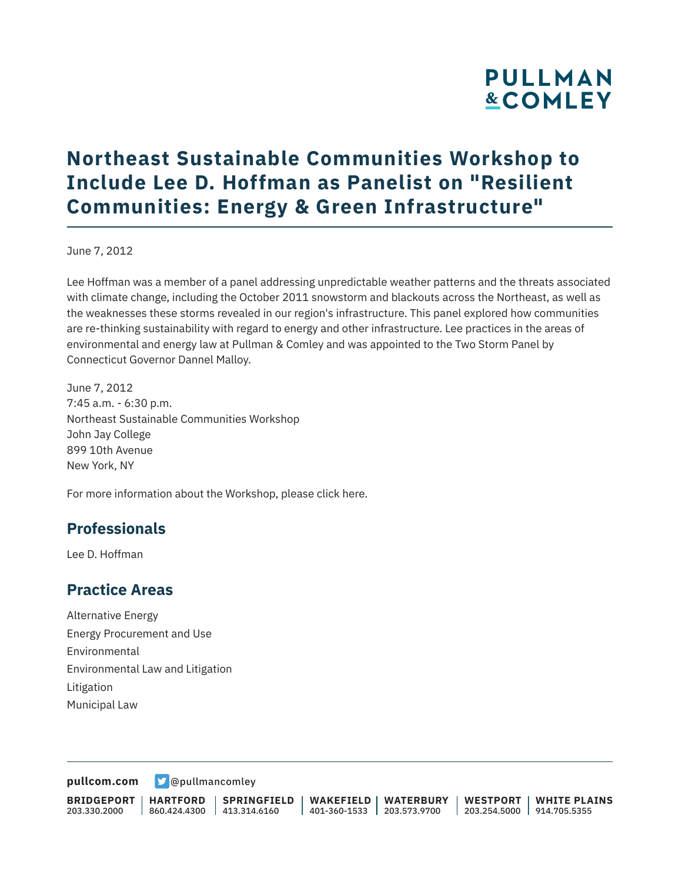# **PULLMAN &COMLEY**

## **Northeast Sustainable Communities Workshop to Include Lee D. Hoffman as Panelist on "Resilient Communities: Energy & Green Infrastructure"**

June 7, 2012

Lee Hoffman was a member of a panel addressing unpredictable weather patterns and the threats associated with climate change, including the October 2011 snowstorm and blackouts across the Northeast, as well as the weaknesses these storms revealed in our region's infrastructure. This panel explored how communities are re-thinking sustainability with regard to energy and other infrastructure. Lee practices in the areas of environmental and energy law at Pullman & Comley and was appointed to the Two Storm Panel by Connecticut Governor Dannel Malloy.

June 7, 2012 7:45 a.m. - 6:30 p.m. Northeast Sustainable Communities Workshop John Jay College 899 10th Avenue New York, NY

For more information about the Workshop, please click here.

### **Professionals**

Lee D. Hoffman

#### **Practice Areas**

Alternative Energy Energy Procurement and Use Environmental Environmental Law and Litigation Litigation Municipal Law

**[pullcom.com](https://www.pullcom.com) g** [@pullmancomley](https://twitter.com/PullmanComley)

**BRIDGEPORT** 203.330.2000

**HARTFORD**

860.424.4300 413.314.6160 **SPRINGFIELD** **WAKEFIELD WATERBURY** 401-360-1533 203.573.9700

**WESTPORT WHITE PLAINS** 203.254.5000 914.705.5355